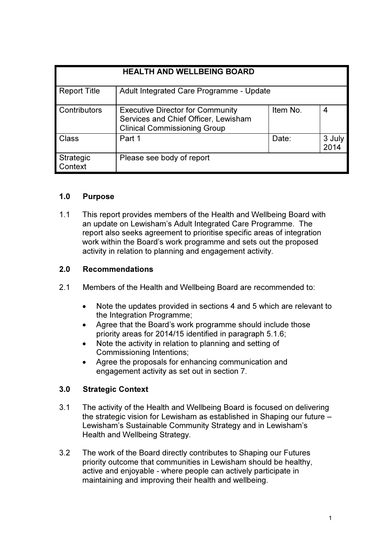| <b>HEALTH AND WELLBEING BOARD</b> |                                                                                                                        |          |                |
|-----------------------------------|------------------------------------------------------------------------------------------------------------------------|----------|----------------|
| <b>Report Title</b>               | Adult Integrated Care Programme - Update                                                                               |          |                |
| <b>Contributors</b>               | <b>Executive Director for Community</b><br>Services and Chief Officer, Lewisham<br><b>Clinical Commissioning Group</b> | Item No. | 4              |
| Class                             | Part 1                                                                                                                 | Date:    | 3 July<br>2014 |
| Strategic<br>Context              | Please see body of report                                                                                              |          |                |

## 1.0 Purpose

1.1 This report provides members of the Health and Wellbeing Board with an update on Lewisham's Adult Integrated Care Programme. The report also seeks agreement to prioritise specific areas of integration work within the Board's work programme and sets out the proposed activity in relation to planning and engagement activity.

## 2.0 Recommendations

- 2.1 Members of the Health and Wellbeing Board are recommended to:
	- Note the updates provided in sections 4 and 5 which are relevant to the Integration Programme;
	- Agree that the Board's work programme should include those priority areas for 2014/15 identified in paragraph 5.1.6;
	- Note the activity in relation to planning and setting of Commissioning Intentions;
	- Agree the proposals for enhancing communication and engagement activity as set out in section 7.

# 3.0 Strategic Context

- 3.1 The activity of the Health and Wellbeing Board is focused on delivering the strategic vision for Lewisham as established in Shaping our future – Lewisham's Sustainable Community Strategy and in Lewisham's Health and Wellbeing Strategy.
- 3.2 The work of the Board directly contributes to Shaping our Futures priority outcome that communities in Lewisham should be healthy, active and enjoyable - where people can actively participate in maintaining and improving their health and wellbeing.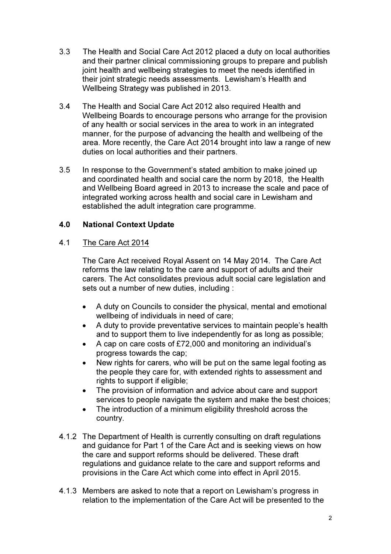- 3.3 The Health and Social Care Act 2012 placed a duty on local authorities and their partner clinical commissioning groups to prepare and publish joint health and wellbeing strategies to meet the needs identified in their joint strategic needs assessments. Lewisham's Health and Wellbeing Strategy was published in 2013.
- 3.4 The Health and Social Care Act 2012 also required Health and Wellbeing Boards to encourage persons who arrange for the provision of any health or social services in the area to work in an integrated manner, for the purpose of advancing the health and wellbeing of the area. More recently, the Care Act 2014 brought into law a range of new duties on local authorities and their partners.
- 3.5 In response to the Government's stated ambition to make joined up and coordinated health and social care the norm by 2018, the Health and Wellbeing Board agreed in 2013 to increase the scale and pace of integrated working across health and social care in Lewisham and established the adult integration care programme.

# 4.0 National Context Update

# 4.1 The Care Act 2014

The Care Act received Royal Assent on 14 May 2014. The Care Act reforms the law relating to the care and support of adults and their carers. The Act consolidates previous adult social care legislation and sets out a number of new duties, including :

- A duty on Councils to consider the physical, mental and emotional wellbeing of individuals in need of care;
- A duty to provide preventative services to maintain people's health and to support them to live independently for as long as possible;
- A cap on care costs of £72,000 and monitoring an individual's progress towards the cap;
- New rights for carers, who will be put on the same legal footing as the people they care for, with extended rights to assessment and rights to support if eligible;
- The provision of information and advice about care and support services to people navigate the system and make the best choices:
- The introduction of a minimum eligibility threshold across the country.
- 4.1.2 The Department of Health is currently consulting on draft regulations and guidance for Part 1 of the Care Act and is seeking views on how the care and support reforms should be delivered. These draft regulations and guidance relate to the care and support reforms and provisions in the Care Act which come into effect in April 2015.
- 4.1.3 Members are asked to note that a report on Lewisham's progress in relation to the implementation of the Care Act will be presented to the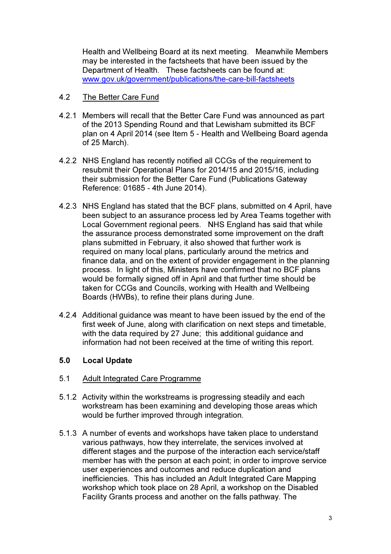Health and Wellbeing Board at its next meeting. Meanwhile Members may be interested in the factsheets that have been issued by the Department of Health. These factsheets can be found at: www.gov.uk/government/publications/the-care-bill-factsheets

## 4.2 The Better Care Fund

- 4.2.1 Members will recall that the Better Care Fund was announced as part of the 2013 Spending Round and that Lewisham submitted its BCF plan on 4 April 2014 (see Item 5 - Health and Wellbeing Board agenda of 25 March).
- 4.2.2 NHS England has recently notified all CCGs of the requirement to resubmit their Operational Plans for 2014/15 and 2015/16, including their submission for the Better Care Fund (Publications Gateway Reference: 01685 - 4th June 2014).
- 4.2.3 NHS England has stated that the BCF plans, submitted on 4 April, have been subject to an assurance process led by Area Teams together with Local Government regional peers. NHS England has said that while the assurance process demonstrated some improvement on the draft plans submitted in February, it also showed that further work is required on many local plans, particularly around the metrics and finance data, and on the extent of provider engagement in the planning process. In light of this, Ministers have confirmed that no BCF plans would be formally signed off in April and that further time should be taken for CCGs and Councils, working with Health and Wellbeing Boards (HWBs), to refine their plans during June.
- 4.2.4 Additional guidance was meant to have been issued by the end of the first week of June, along with clarification on next steps and timetable, with the data required by 27 June; this additional guidance and information had not been received at the time of writing this report.

#### 5.0 Local Update

#### 5.1 Adult Integrated Care Programme

- 5.1.2 Activity within the workstreams is progressing steadily and each workstream has been examining and developing those areas which would be further improved through integration.
- 5.1.3 A number of events and workshops have taken place to understand various pathways, how they interrelate, the services involved at different stages and the purpose of the interaction each service/staff member has with the person at each point; in order to improve service user experiences and outcomes and reduce duplication and inefficiencies. This has included an Adult Integrated Care Mapping workshop which took place on 28 April, a workshop on the Disabled Facility Grants process and another on the falls pathway. The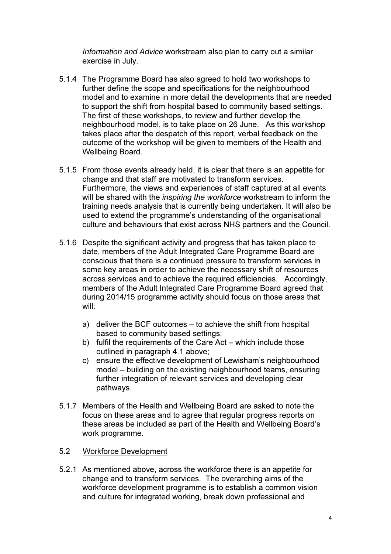Information and Advice workstream also plan to carry out a similar exercise in July.

- 5.1.4 The Programme Board has also agreed to hold two workshops to further define the scope and specifications for the neighbourhood model and to examine in more detail the developments that are needed to support the shift from hospital based to community based settings. The first of these workshops, to review and further develop the neighbourhood model, is to take place on 26 June. As this workshop takes place after the despatch of this report, verbal feedback on the outcome of the workshop will be given to members of the Health and Wellbeing Board.
- 5.1.5 From those events already held, it is clear that there is an appetite for change and that staff are motivated to transform services. Furthermore, the views and experiences of staff captured at all events will be shared with the *inspiring the workforce* workstream to inform the training needs analysis that is currently being undertaken. It will also be used to extend the programme's understanding of the organisational culture and behaviours that exist across NHS partners and the Council.
- 5.1.6 Despite the significant activity and progress that has taken place to date, members of the Adult Integrated Care Programme Board are conscious that there is a continued pressure to transform services in some key areas in order to achieve the necessary shift of resources across services and to achieve the required efficiencies. Accordingly, members of the Adult Integrated Care Programme Board agreed that during 2014/15 programme activity should focus on those areas that will:
	- a) deliver the BCF outcomes to achieve the shift from hospital based to community based settings;
	- b) fulfil the requirements of the Care Act which include those outlined in paragraph 4.1 above;
	- c) ensure the effective development of Lewisham's neighbourhood model – building on the existing neighbourhood teams, ensuring further integration of relevant services and developing clear pathways.
- 5.1.7 Members of the Health and Wellbeing Board are asked to note the focus on these areas and to agree that regular progress reports on these areas be included as part of the Health and Wellbeing Board's work programme.

## 5.2 Workforce Development

5.2.1 As mentioned above, across the workforce there is an appetite for change and to transform services. The overarching aims of the workforce development programme is to establish a common vision and culture for integrated working, break down professional and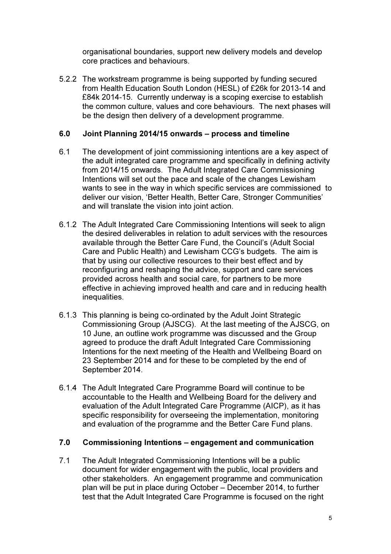organisational boundaries, support new delivery models and develop core practices and behaviours.

5.2.2 The workstream programme is being supported by funding secured from Health Education South London (HESL) of £26k for 2013-14 and £84k 2014-15. Currently underway is a scoping exercise to establish the common culture, values and core behaviours. The next phases will be the design then delivery of a development programme.

#### 6.0 Joint Planning 2014/15 onwards – process and timeline

- 6.1 The development of joint commissioning intentions are a key aspect of the adult integrated care programme and specifically in defining activity from 2014/15 onwards. The Adult Integrated Care Commissioning Intentions will set out the pace and scale of the changes Lewisham wants to see in the way in which specific services are commissioned to deliver our vision, 'Better Health, Better Care, Stronger Communities' and will translate the vision into joint action.
- 6.1.2 The Adult Integrated Care Commissioning Intentions will seek to align the desired deliverables in relation to adult services with the resources available through the Better Care Fund, the Council's (Adult Social Care and Public Health) and Lewisham CCG's budgets. The aim is that by using our collective resources to their best effect and by reconfiguring and reshaping the advice, support and care services provided across health and social care, for partners to be more effective in achieving improved health and care and in reducing health inequalities.
- 6.1.3 This planning is being co-ordinated by the Adult Joint Strategic Commissioning Group (AJSCG). At the last meeting of the AJSCG, on 10 June, an outline work programme was discussed and the Group agreed to produce the draft Adult Integrated Care Commissioning Intentions for the next meeting of the Health and Wellbeing Board on 23 September 2014 and for these to be completed by the end of September 2014.
- 6.1.4 The Adult Integrated Care Programme Board will continue to be accountable to the Health and Wellbeing Board for the delivery and evaluation of the Adult Integrated Care Programme (AICP), as it has specific responsibility for overseeing the implementation, monitoring and evaluation of the programme and the Better Care Fund plans.

#### 7.0 Commissioning Intentions – engagement and communication

7.1 The Adult Integrated Commissioning Intentions will be a public document for wider engagement with the public, local providers and other stakeholders. An engagement programme and communication plan will be put in place during October – December 2014, to further test that the Adult Integrated Care Programme is focused on the right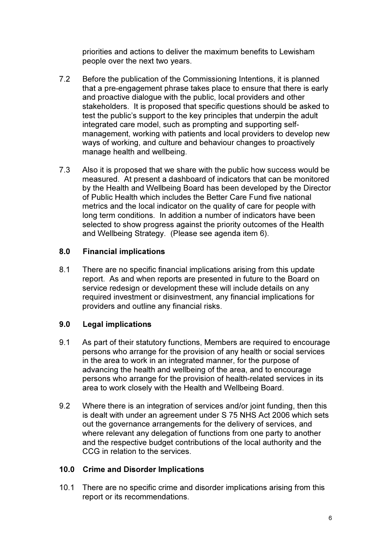priorities and actions to deliver the maximum benefits to Lewisham people over the next two years.

- 7.2 Before the publication of the Commissioning Intentions, it is planned that a pre-engagement phrase takes place to ensure that there is early and proactive dialogue with the public, local providers and other stakeholders. It is proposed that specific questions should be asked to test the public's support to the key principles that underpin the adult integrated care model, such as prompting and supporting selfmanagement, working with patients and local providers to develop new ways of working, and culture and behaviour changes to proactively manage health and wellbeing.
- 7.3 Also it is proposed that we share with the public how success would be measured. At present a dashboard of indicators that can be monitored by the Health and Wellbeing Board has been developed by the Director of Public Health which includes the Better Care Fund five national metrics and the local indicator on the quality of care for people with long term conditions. In addition a number of indicators have been selected to show progress against the priority outcomes of the Health and Wellbeing Strategy. (Please see agenda item 6).

## 8.0 Financial implications

8.1 There are no specific financial implications arising from this update report. As and when reports are presented in future to the Board on service redesign or development these will include details on any required investment or disinvestment, any financial implications for providers and outline any financial risks.

### 9.0 Legal implications

- 9.1 As part of their statutory functions, Members are required to encourage persons who arrange for the provision of any health or social services in the area to work in an integrated manner, for the purpose of advancing the health and wellbeing of the area, and to encourage persons who arrange for the provision of health-related services in its area to work closely with the Health and Wellbeing Board.
- 9.2 Where there is an integration of services and/or joint funding, then this is dealt with under an agreement under S 75 NHS Act 2006 which sets out the governance arrangements for the delivery of services, and where relevant any delegation of functions from one party to another and the respective budget contributions of the local authority and the CCG in relation to the services.

#### 10.0 Crime and Disorder Implications

10.1 There are no specific crime and disorder implications arising from this report or its recommendations.